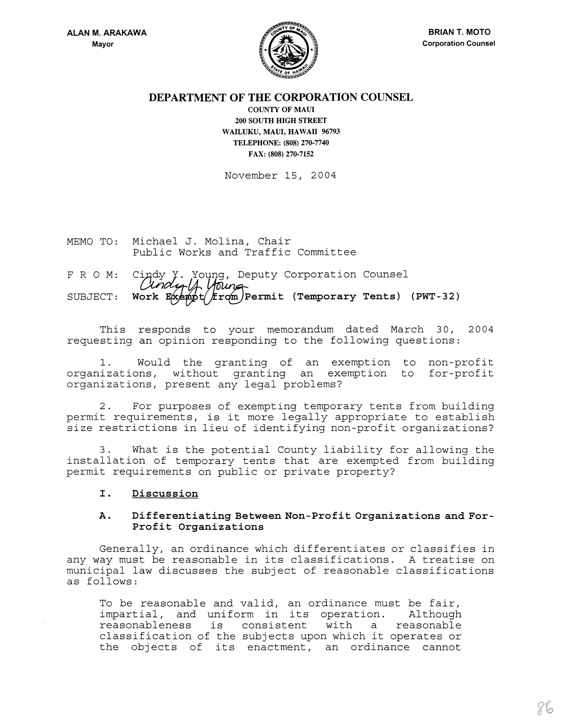

## DEPARTMENT OF THE CORPORATION COUNSEL

COUNTY OF MAUl 200 SOUTII HIGH STREET WAILUKU, MAUl, HAWAII 96793 TELEPHONE: (808) 270-7740 FAX: (808) 270-7152

November 15, 2004

MEMO TO: Michael J. Molina, Chair Public Works and Traffic Committee

# F R O M: Cindy Y. Young, Deputy Corporation Counsel SUBJECT: Work  $E(x) = \frac{f(x)}{f(x)}$  From Permit (Temporary Tents) (PWT-32)

This responds to your memorandum dated March 30, 2004 requesting an opinion responding to the following questions:

1. Would the granting of an exemption to non-profit organizations, without granting an exemption to for-profit organizations, present any legal problems?

2. For purposes of exempting temporary tents from building permit requirements, is it more legally appropriate to establish size restrictions in lieu of identifying non-profit organizations?

3. What is the potential County liability for allowing the installation of temporary tents that are exempted from building permit requirements on public or private property?

#### I. Discussion

## A. Differentiating Between Non-Profit Organizations and For-Profit Organizations

Generally, an ordinance which differentiates or classifies in any way must be reasonable in its classifications. A treatise on municipal law discusses the subject of reasonable classifications as follows:

To be reasonable and valid, an ordinance must be fair, IC De reasonable and varid, an ordinance must be fair,<br>impartial, and uniform in its operation. Although rmpartrar, and antrorm in res operation. Thenough<br>reasonableness is consistent with a reasonable reasonableness is consistent with a reasonable<br>classification of the subjects upon which it operates or the objects of its enactment, an ordinance cannot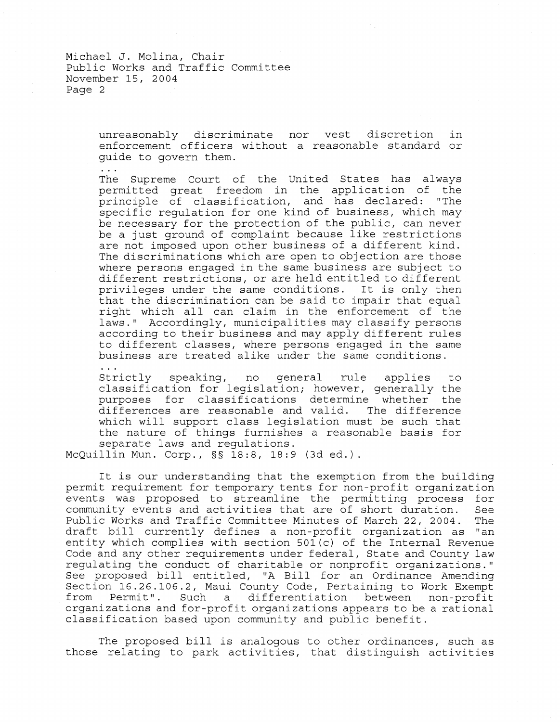Michael **J.** Molina, Chair Public Works and Traffic Committee November IS, 2004 Page 2

> unreasonably discriminate nor vest discretion in enforcement officers without a reasonable standard or guide to govern them.

The Supreme Court of the United States has always permitted great freedom in the application of the principle of classification, and has declared: "The specific regulation for one kind of business, which may be necessary for the protection of the public, can never be a just ground of complaint because like restrictions are not imposed upon other business of a different kind. The discriminations which are open to objection are those where persons engaged in the same business are subject to different restrictions, or are held entitled to different privileges under the same conditions. It is only then that the discrimination can be said to impair that equal right which all can claim in the enforcement of the laws." Accordingly, municipalities may classify persons according to their business and may apply different rules to different classes, where persons engaged in the same business are treated alike under the same conditions.

Strictly speaking, no general rule applies to classification for legislation; however, generally the purposes for classifications determine whether the<br>differences are reasonable and valid. The difference differences are reasonable and valid. which will support class legislation must be such that the nature of things furnishes a reasonable basis for separate laws and regulations.

McQuillin Mun. Corp., §§ 18:8, 18:9 (3d ed.).

It is our understanding that the exemption from the building permit requirement for temporary tents for non-profit organization events was proposed to streamline the permitting process for community events and activities that are of short duration. See Public Works and Traffic Committee Minutes of March 22, 2004. draft bill currently defines a non-profit organization as "an entity which complies with section 501 (c) of the Internal Revenue Code and any other requirements under federal, State and County law regulating the conduct of charitable or nonprofit organizations." See proposed bill entitled, "A Bill for an Ordinance Amending Section 16.26.106.2, Maui County Code, Pertaining to Work Exempt<br>from Permit". Such a differentiation between non-profit a differentiation between non-profit organizations and for-profit organizations appears to be a rational classification based upon community and public benefit.

The proposed bill is analogous to other ordinances, such as those relating to park activities, that distinguish activities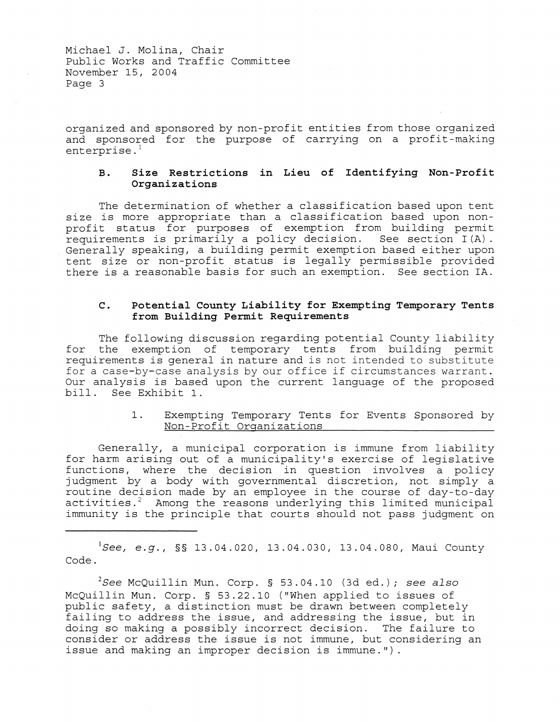Michael **J.** Molina, Chair Public Works and Traffic Committee November 15, 2004 Page 3

organized and sponsored by non-profit entities from those organized and sponsored for the purpose of carrying on a profit-making enterprise. $<sup>1</sup>$ </sup>

## **B. Size Restrictions in Lieu of Identifying Non-Profit Organizations**

The determination of whether a classification based upon tent size is more appropriate than a classification based upon nonprofit status for purposes of exemption from building permit requirements is primarily a policy decision. See section I(A). Generally speaking, a building permit exemption based either upon tent size or non-profit status is legally permissible provided there is a reasonable basis for such an exemption. See section IA.

### **C. Potential County Liability for Exempting Temporary Tents**  from Building Permit Requirements

The following discussion regarding potential County liability for the exemption of temporary tents from building permit requirements is general in nature and is not intended to substitute for a case-by-case analysis by our office if circumstances warrant. Our analysis is based upon the current language of the proposed bill. See Exhibit 1.

#### 1. Exempting Temporary Tents for Events Sponsored by Non-Profit Organizations

Generally, a municipal corporation is immune from liability for harm arising out of a municipality's exercise of legislative functions, where the decision in question involves a policy judgment by a body with governmental discretion, not simply a routine decision made by an employee in the course of day-to-day activities.<sup>2</sup> Among the reasons underlying this limited municipal immunity is the principle that courts should not pass judgment on

*lSee, e.g.,* §§ 13.04.020, 13.04.030, 13.04.080, Maui County Code.

*2See* McQuillin Mun. Corp. § 53.04.10 (3d ed.); *see also*  McQuillin Mun. Corp. § 53.22.10 ("When applied to issues of public safety, a distinction must be drawn between completely failing to address the issue, and addressing the issue, but in doing so making a possibly incorrect decision. The failure to consider or address the issue is not immune, but considering an issue and making an improper decision is immune.").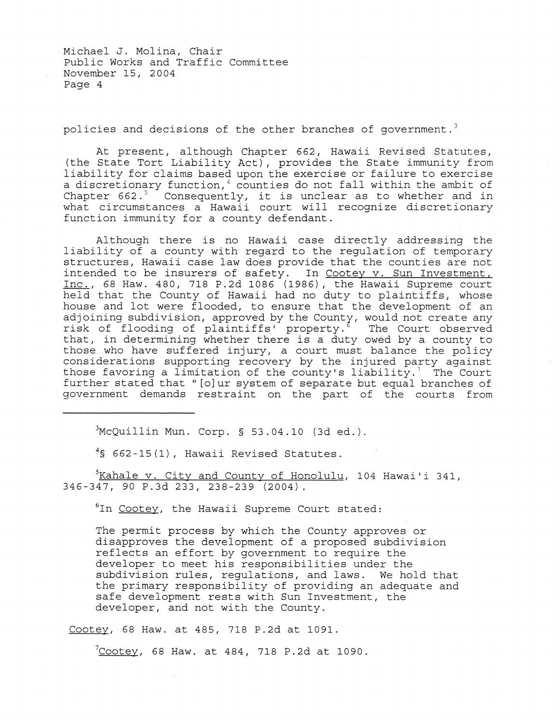Michael J. Molina, Chair Public Works and Traffic Committee November 15, 2004 Page 4

policies and decisions of the other branches of government.<sup>3</sup>

At present, although Chapter 662, Hawaii Revised Statutes, (the State Tort Liability Act), provides the State immunity from liability for claims based upon the exercise or failure to exercise a discretionary function,<sup>4</sup> counties do not fall within the ambit of a discretionary function, counties do not fail within the ambit of<br>Chapter 662.<sup>5</sup> Consequently, it is unclear as to whether and in what circumstances a Hawaii court will recognize discretionary function immunity for a county defendant.

Although there is no Hawaii case directly addressing the liability of a county with regard to the regulation of temporary structures, Hawaii case law does provide that the counties are not intended to be insurers of safety. In Cootey v. Sun Investment, Inc., 68 Haw. 480, 718 P.2d 1086 (1986), the Hawaii Supreme court held that the County of Hawaii had no duty to plaintiffs, whose house and lot were flooded, to ensure that the development of an adjoining subdivision, approved by the County, would not create any risk of flooding of plaintiffs' property.<sup>8</sup> The Court observed that, in determining whether there is a duty owed by a county to those who have suffered injury, a court must balance the policy considerations supporting recovery by the injured party against those favoring a limitation of the county's liability.<sup>7</sup> The Court further stated that" [o]ur system of separate but equal branches of government demands restraint on the part of the courts from

 $3$ McQuillin Mun. Corp. § 53.04.10 (3d ed.).

4§ 662-15(1), Hawaii Revised Statutes.

 $5$ Kahale v. City and County of Honolulu, 104 Hawai'i 341, 346-347, 90 P.3d 233, 238-239 (2004).

<sup>6</sup>In Cootey, the Hawaii Supreme Court stated:

The permit process by which the County approves or disapproves the development of a proposed subdivision alsupplease one development of a proposed subdi-<br>reflects an effort by government to require the developer to meet his responsibilities under the subdivision rules, regulations, and laws. We hold that the primary responsibility of providing an adequate and safe development rests with Sun Investment, the developer, and not with the County.

Cootey, 68 Haw. at 485, 718 P.2d at 1091.

 $7$ Cootey, 68 Haw. at 484, 718 P.2d at 1090.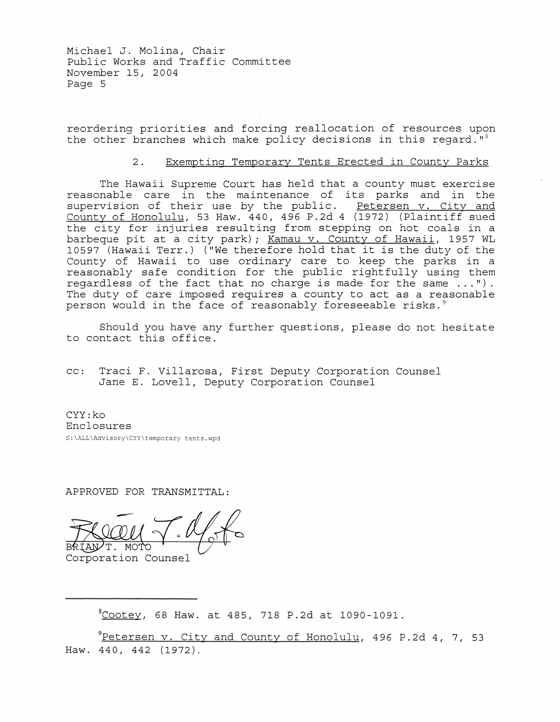Michael J. Molina, Chair Public Works and Traffic Committee November 15, 2004 Page 5

reordering priorities and forcing reallocation of resources upon the other branches which make policy decisions in this regard." $8$ 

#### 2. Exempting Temporary Tents Erected in County Parks

The Hawaii Supreme Court has held that a county must exercise reasonable care in the maintenance of its parks and in the supervision of their use by the public. Petersen v. City and County of Honolulu, 53 Haw. 440, 496 P.2d 4 (1972) (Plaintiff sued the city for injuries resulting from stepping on hot coals in a barbeque pit at a city park) *i* Kamau v. County of Hawaii, 1957 WL 10597 (Hawaii Terr.) ("We therefore hold that it is the duty of the County of Hawaii to use ordinary care to keep the parks in a reasonably safe condition for the public rightfully using them regardless of the fact that no charge is made for the same ... "). The duty of care imposed requires a county to act as a reasonable person would in the face of reasonably foreseeable risks.<sup>9</sup>

Should you have any further questions, please do not hesitate to contact this office.

cc: Traci F. Villarosa, First Deputy Corporation Counsel Jane E. Lovell, Deputy Corporation Counsel

CYY:ko Enclosures S:\ALL\Advisory\Cyy\temporary tents.wpd

APPROVED FOR TRANSMITTAL:

BRIANT. MOTO

Corporation Counsel

 $^8$ Cootey, 68 Haw. at 485, 718 P.2d at 1090-1091.

 $^{9}$ Petersen v. City and County of Honolulu, 496 P.2d 4, 7, 53 Haw. 440, 442 (1972).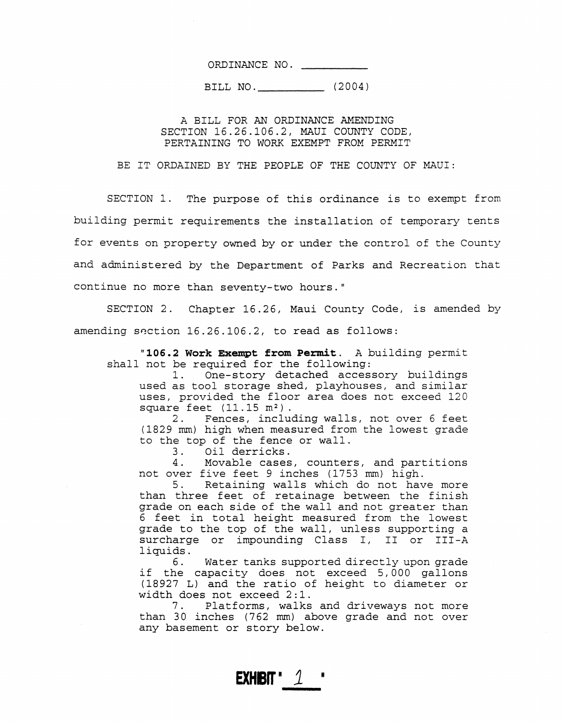ORDINANCE NO.

BILL NO. \_\_\_\_\_\_\_\_ \_\_ (2004)

A BILL FOR AN ORDINANCE AMENDING SECTION 16.26.106.2, MAUl COUNTY CODE, PERTAINING TO WORK EXEMPT FROM PERMIT

BE IT ORDAINED BY THE PEOPLE OF THE COUNTY OF MAUl:

SECTION 1. The purpose of this ordinance is to exempt from building permit requirements the installation of temporary tents for events on property owned by or under the control of the County and administered by the Department of Parks and Recreation that continue no more than seventy-two hours."

SECTION 2. Chapter 16.26, Maui County Code, is amended by amending saction  $16.26.106.2$ , to read as follows:

"106.2 **Work Exempt from** Permit. A building permit shall not be required for the following:

1. One-story detached accessory buildings used as tool storage shed, playhouses, and similar uses, provided the floor area does not exceed 120 square feet  $(11.15 \text{ m}^2)$ .<br>2. Fences, inclue

Fences, including walls, not over 6 feet (1829 mm) high when measured from the lowest grade to the top of the fence or wall.<br>3. Oil derricks.

3. Oil derricks.<br>4. Movable cases

Movable cases, counters, and partitions not over five feet 9 inches (1753 mm) high.

5. Retaining walls which do not have more than three feet of retainage between the finish grade on each side of the wall and not greater than 6 feet in total height measured from the lowest grade to the top of the wall, unless supporting a surcharge or impounding Class I, II or III-A liquids.<br>6.

Water tanks supported directly upon grade if the capacity does not exceed 5, 000 gallons (18927 L) and the ratio of height to diameter or width does not exceed 2:1.

7. Platforms, walks and driveways not more than  $30$  inches (762 mm) above grade and not over any basement or story below.

**EXHIBIT**  $1$   $1$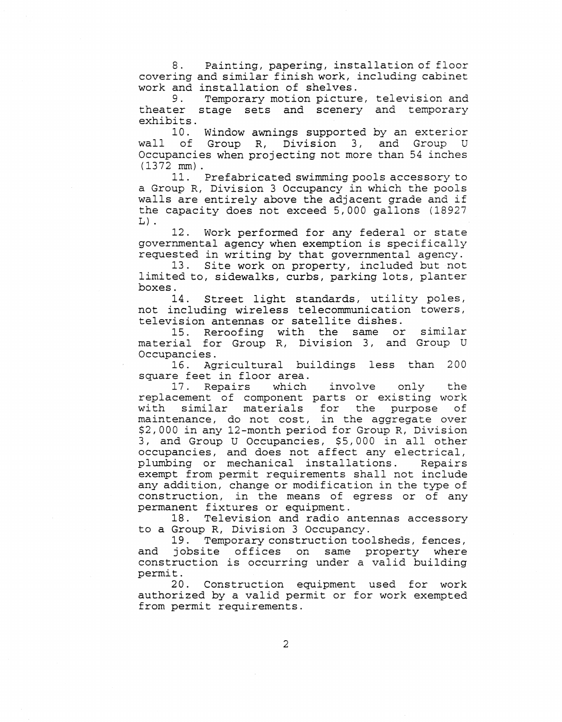8. Painting, papering, installation of floor covering and similar finish work, including cabinet work and installation of shelves.<br>9. Temporary motion picture

Temporary motion picture, television and theater stage sets and scenery and temporary exhibits.

10. Window awnings supported by an exterior wall of Group R, Division 3, and Group U Occupancies when projecting not more than 54 inches (1372 mm).

11. Prefabricated swimming pools accessory to a Group R, Division 3 Occupancy in which the pools walls are entirely above the adjacent grade and if the capacity does not exceed 5,000 gallons (18927  $L)$ .

12. Work performed for any federal or state governmental agency when exemption is specifically requested in writing by that governmental agency.

13. Site work on property, included but not limited to, sidewalks, curbs, parking lots, planter boxes.<br>14.

Street light standards, utility poles, not including wireless telecommunication towers, television antennas or satellite dishes.

15. Reroofing with the same or similar material for Group R, Division 3, and Group U Occupancies.

16. Agricultural buildings less than 200 square feet in floor area.<br>17. Repairs which

17. Repairs which involve only the replacement of component parts or existing work experience of compensive pures of charactery with similar materials for the purpose of maintenance, do not cost, in the aggregate over \$2,000 in any 12-month period for Group R, Division 3, and Group U Occupancies, \$5,000 in all other occupancies, and does not affect any electrical,<br>plumbing or mechanical installations. Repairs plumbing or mechanical installations. exempt from permit requirements shall not include any addition, change or modification in the type of construction, in the means of egress or of any permanent fixtures or equipment.

18. Television and radio antennas accessory to a Group R, Division 3 Occupancy.

19. Temporary construction toolsheds, fences, and jobsite offices on same property where construction is occurring under a valid building permit.

20. Construction equipment used for work authorized by a valid permit or for work exempted from permit requirements.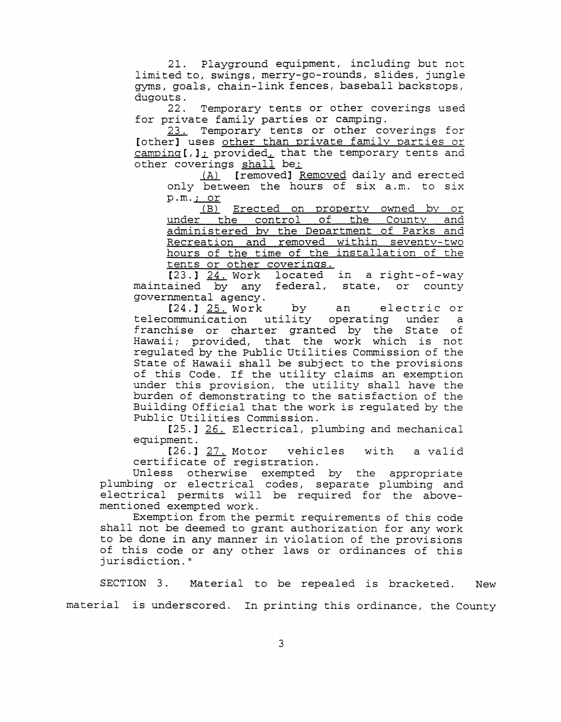21. Playground equipment, including but not limi ted to, swings, merry-go-rounds, slides, jungle gyms, goals, chain-link fences, baseball backstops, dugouts.<br>22.

Temporary tents or other coverings used for private family parties or camping.

23. Temporary tents or other coverings for [other] uses other than private family parties or  $camping[$ ,  $j_j$  provided, that the temporary tents and other coverings shall be:

(A) [removed] Removed daily and erected only between the hours of six a.m. to six  $p.m.$ ; or

(B) Erected on property owned by or under the control of the County and administered by the Department of Parks and Recreation and removed within seventy-two hours of the time of the installation of the tents or other coverings.

[23.] 24. Work located in a right-of-way maintained by any federal, state, or county governmental agency.

[24.] 25. Work by an electric or<br>ommunication utility operating under a telecommunication utility operating under franchise or charter granted by the State of Hawaii; provided, that the work which is not regulated by the Public Utilities Commission of the State of Hawaii shall be subject to the provisions of this Code. If the utility claims an exemption under this provision, the utility shall have the burden of demonstrating to the satisfaction of the Building Official that the work is regulated by the Public Utilities Commission.

[25.] 26. Electrical, plumbing and mechanical equipment.

[26.] 27. Motor vehicles with a valid certificate of registration.

Unless otherwise exempted by the appropriate plumbing or electrical codes, separate plumbing and electrical permits will be required for the abovementioned exempted work.

Exemption from the permit requirements of this code shall not be deemed to grant authorization for any work to be done in any manner in violation of the provisions of this code or any other laws or ordinances of this jurisdiction. "

SECTION 3. Material to be repealed is bracketed. New material is underscored. In printing this ordinance, the County